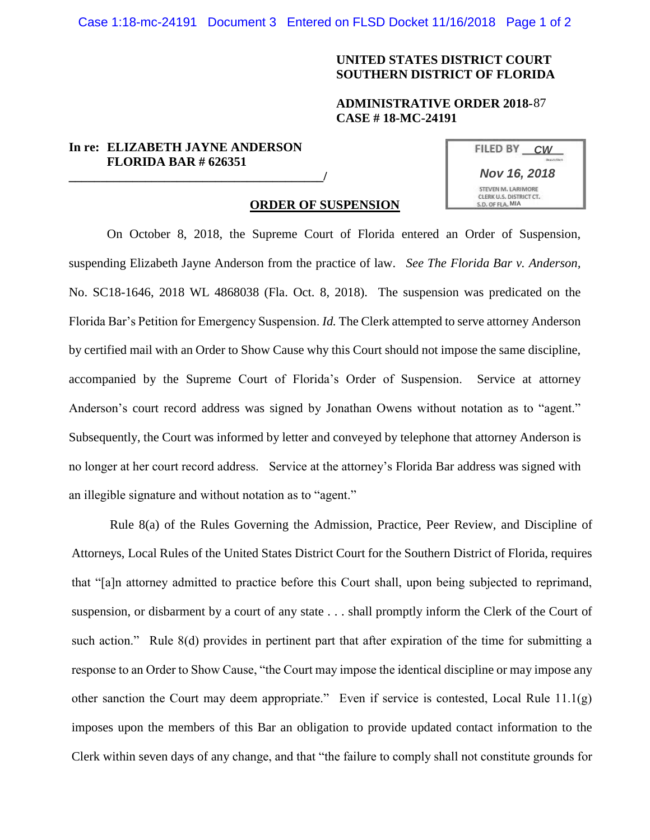Case 1:18-mc-24191 Document 3 Entered on FLSD Docket 11/16/2018 Page 1 of 2

# **UNITED STATES DISTRICT COURT SOUTHERN DISTRICT OF FLORIDA**

### **ADMINISTRATIVE ORDER 2018-87 CASE # 18-MC-24191**

## **In re: ELIZABETH JAYNE ANDERSON FLORIDA BAR # 626351**

**\_\_\_\_\_\_\_\_\_\_\_\_\_\_\_\_\_\_\_\_\_\_\_\_\_\_\_\_\_\_\_\_\_\_\_\_\_\_\_\_/**

| <b>FILED BY</b>         | <b>CW</b>           |
|-------------------------|---------------------|
|                         |                     |
|                         | <b>Nov 16, 2018</b> |
| STEVEN M. LARIMORE      |                     |
| CLERK U.S. DISTRICT CT. |                     |
| S.D. OF FLA, MIA        |                     |

#### **ORDER OF SUSPENSION**

On October 8, 2018, the Supreme Court of Florida entered an Order of Suspension, suspending Elizabeth Jayne Anderson from the practice of law. *See The Florida Bar v. Anderson,*  No. SC18-1646, 2018 WL 4868038 (Fla. Oct. 8, 2018). The suspension was predicated on the Florida Bar's Petition for Emergency Suspension. *Id.* The Clerk attempted to serve attorney Anderson by certified mail with an Order to Show Cause why this Court should not impose the same discipline, accompanied by the Supreme Court of Florida's Order of Suspension. Service at attorney Anderson's court record address was signed by Jonathan Owens without notation as to "agent." Subsequently, the Court was informed by letter and conveyed by telephone that attorney Anderson is no longer at her court record address. Service at the attorney's Florida Bar address was signed with an illegible signature and without notation as to "agent."

Rule 8(a) of the Rules Governing the Admission, Practice, Peer Review, and Discipline of Attorneys, Local Rules of the United States District Court for the Southern District of Florida, requires that "[a]n attorney admitted to practice before this Court shall, upon being subjected to reprimand, suspension, or disbarment by a court of any state . . . shall promptly inform the Clerk of the Court of such action." Rule 8(d) provides in pertinent part that after expiration of the time for submitting a response to an Order to Show Cause, "the Court may impose the identical discipline or may impose any other sanction the Court may deem appropriate." Even if service is contested, Local Rule 11.1(g) imposes upon the members of this Bar an obligation to provide updated contact information to the Clerk within seven days of any change, and that "the failure to comply shall not constitute grounds for